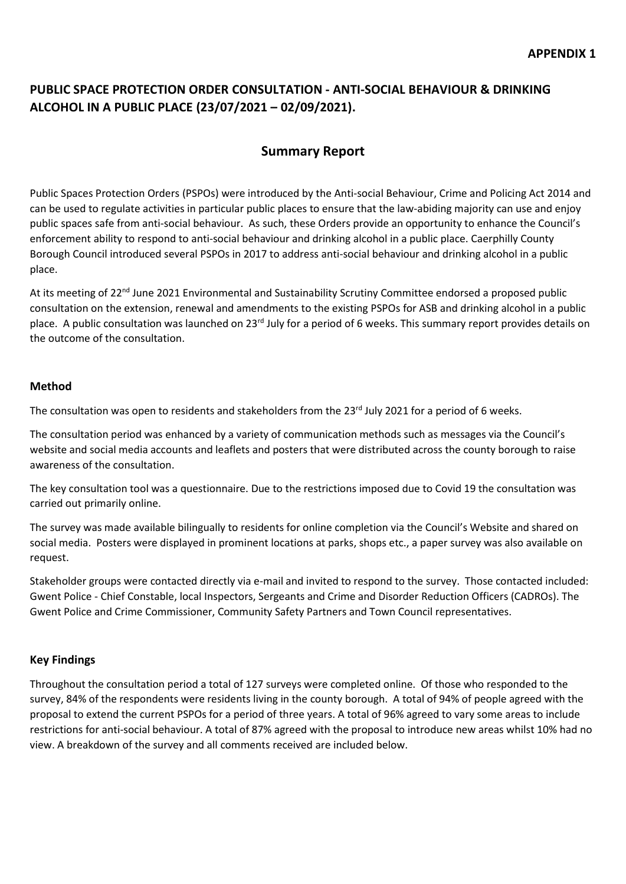### **PUBLIC SPACE PROTECTION ORDER CONSULTATION - ANTI-SOCIAL BEHAVIOUR & DRINKING ALCOHOL IN A PUBLIC PLACE (23/07/2021 – 02/09/2021).**

### **Summary Report**

Public Spaces Protection Orders (PSPOs) were introduced by the Anti-social Behaviour, Crime and Policing Act 2014 and can be used to regulate activities in particular public places to ensure that the law-abiding majority can use and enjoy public spaces safe from anti-social behaviour. As such, these Orders provide an opportunity to enhance the Council's enforcement ability to respond to anti-social behaviour and drinking alcohol in a public place. Caerphilly County Borough Council introduced several PSPOs in 2017 to address anti-social behaviour and drinking alcohol in a public place.

At its meeting of 22<sup>nd</sup> June 2021 Environmental and Sustainability Scrutiny Committee endorsed a proposed public consultation on the extension, renewal and amendments to the existing PSPOs for ASB and drinking alcohol in a public place. A public consultation was launched on 23<sup>rd</sup> July for a period of 6 weeks. This summary report provides details on the outcome of the consultation.

#### **Method**

The consultation was open to residents and stakeholders from the 23<sup>rd</sup> July 2021 for a period of 6 weeks.

The consultation period was enhanced by a variety of communication methods such as messages via the Council's website and social media accounts and leaflets and posters that were distributed across the county borough to raise awareness of the consultation.

The key consultation tool was a questionnaire. Due to the restrictions imposed due to Covid 19 the consultation was carried out primarily online.

The survey was made available bilingually to residents for online completion via the Council's Website and shared on social media. Posters were displayed in prominent locations at parks, shops etc., a paper survey was also available on request.

Stakeholder groups were contacted directly via e-mail and invited to respond to the survey. Those contacted included: Gwent Police - Chief Constable, local Inspectors, Sergeants and Crime and Disorder Reduction Officers (CADROs). The Gwent Police and Crime Commissioner, Community Safety Partners and Town Council representatives.

#### **Key Findings**

Throughout the consultation period a total of 127 surveys were completed online. Of those who responded to the survey, 84% of the respondents were residents living in the county borough. A total of 94% of people agreed with the proposal to extend the current PSPOs for a period of three years. A total of 96% agreed to vary some areas to include restrictions for anti-social behaviour. A total of 87% agreed with the proposal to introduce new areas whilst 10% had no view. A breakdown of the survey and all comments received are included below.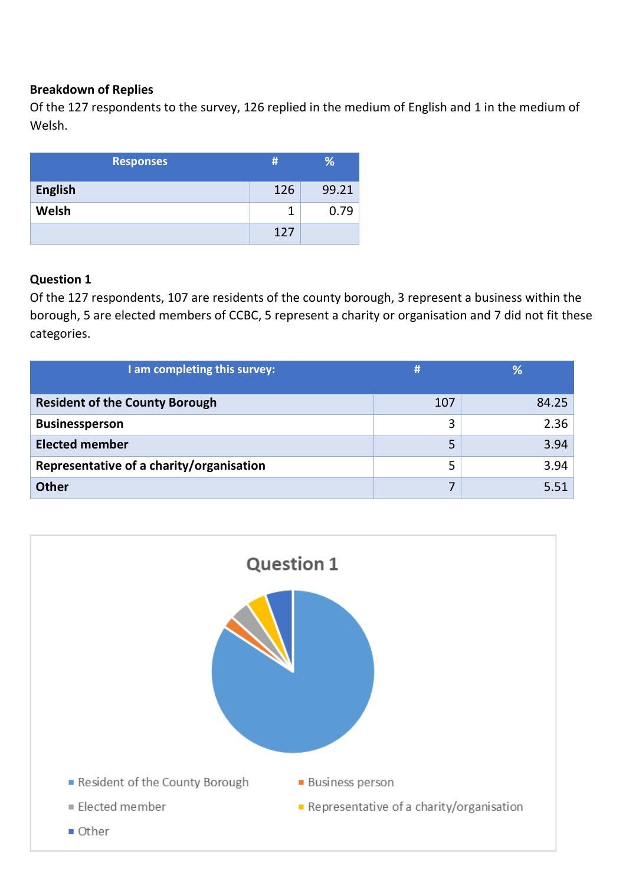#### **Breakdown of Replies**

Of the 127 respondents to the survey, 126 replied in the medium of English and 1 in the medium of Welsh.

|                | <b>Responses</b> | #   | %     |
|----------------|------------------|-----|-------|
| <b>English</b> |                  | 126 | 99.21 |
| Welsh          |                  | 1   | 0.79  |
|                |                  | 127 |       |

#### **Question 1**

Of the 127 respondents, 107 are residents of the county borough, 3 represent a business within the borough, 5 are elected members of CCBC, 5 represent a charity or organisation and 7 did not fit these categories.

| I am completing this survey:             | H   | %     |
|------------------------------------------|-----|-------|
| <b>Resident of the County Borough</b>    | 107 | 84.25 |
| <b>Businessperson</b>                    | 3   | 2.36  |
| <b>Elected member</b>                    | 5   | 3.94  |
| Representative of a charity/organisation | 5   | 3.94  |
| <b>Other</b>                             | 7   | 5.51  |

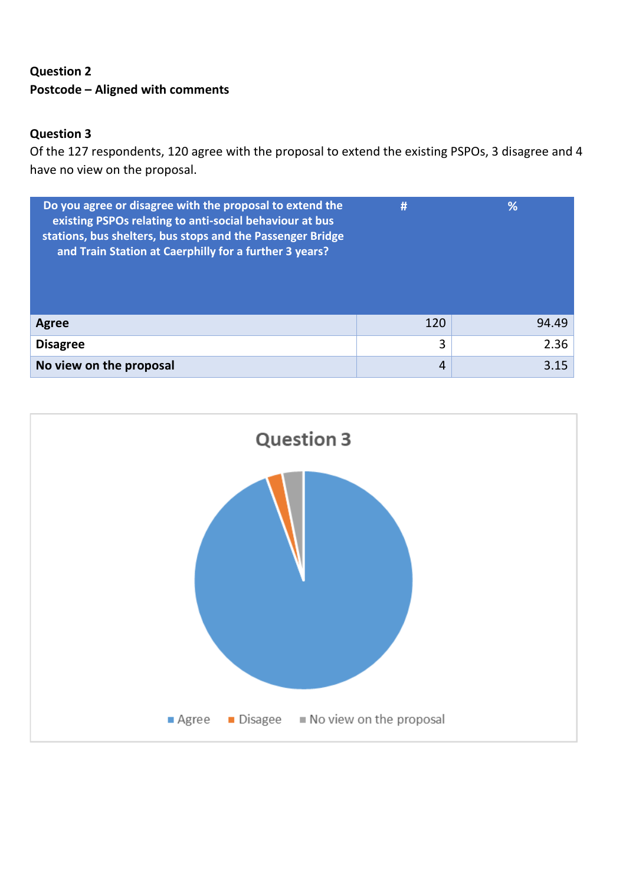## **Question 2 Postcode – Aligned with comments**

### **Question 3**

Of the 127 respondents, 120 agree with the proposal to extend the existing PSPOs, 3 disagree and 4 have no view on the proposal.

| Do you agree or disagree with the proposal to extend the<br>existing PSPOs relating to anti-social behaviour at bus<br>stations, bus shelters, bus stops and the Passenger Bridge<br>and Train Station at Caerphilly for a further 3 years? | Ħ   | %     |
|---------------------------------------------------------------------------------------------------------------------------------------------------------------------------------------------------------------------------------------------|-----|-------|
| Agree                                                                                                                                                                                                                                       | 120 | 94.49 |
| <b>Disagree</b>                                                                                                                                                                                                                             | 3   | 2.36  |
| No view on the proposal                                                                                                                                                                                                                     | 4   | 3.15  |

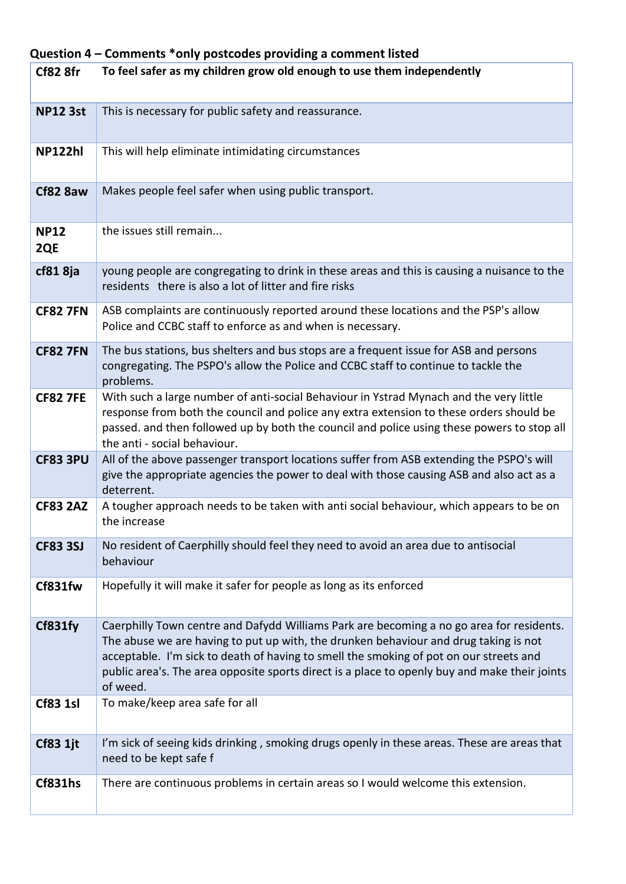### **Question 4 – Comments \*only postcodes providing a comment listed**

| Cf82 8fr           | To feel safer as my children grow old enough to use them independently                                                                                                                                                                                                                                                                                                                  |
|--------------------|-----------------------------------------------------------------------------------------------------------------------------------------------------------------------------------------------------------------------------------------------------------------------------------------------------------------------------------------------------------------------------------------|
| <b>NP12 3st</b>    | This is necessary for public safety and reassurance.                                                                                                                                                                                                                                                                                                                                    |
| <b>NP122hl</b>     | This will help eliminate intimidating circumstances                                                                                                                                                                                                                                                                                                                                     |
| Cf82 8aw           | Makes people feel safer when using public transport.                                                                                                                                                                                                                                                                                                                                    |
| <b>NP12</b><br>2QE | the issues still remain                                                                                                                                                                                                                                                                                                                                                                 |
| cf81 8ja           | young people are congregating to drink in these areas and this is causing a nuisance to the<br>residents there is also a lot of litter and fire risks                                                                                                                                                                                                                                   |
| <b>CF82 7FN</b>    | ASB complaints are continuously reported around these locations and the PSP's allow<br>Police and CCBC staff to enforce as and when is necessary.                                                                                                                                                                                                                                       |
| <b>CF82 7FN</b>    | The bus stations, bus shelters and bus stops are a frequent issue for ASB and persons<br>congregating. The PSPO's allow the Police and CCBC staff to continue to tackle the<br>problems.                                                                                                                                                                                                |
| <b>CF82 7FE</b>    | With such a large number of anti-social Behaviour in Ystrad Mynach and the very little<br>response from both the council and police any extra extension to these orders should be<br>passed. and then followed up by both the council and police using these powers to stop all<br>the anti - social behaviour.                                                                         |
| <b>CF83 3PU</b>    | All of the above passenger transport locations suffer from ASB extending the PSPO's will<br>give the appropriate agencies the power to deal with those causing ASB and also act as a<br>deterrent.                                                                                                                                                                                      |
| <b>CF83 2AZ</b>    | A tougher approach needs to be taken with anti social behaviour, which appears to be on<br>the increase                                                                                                                                                                                                                                                                                 |
| <b>CF83 3SJ</b>    | No resident of Caerphilly should feel they need to avoid an area due to antisocial<br>behaviour                                                                                                                                                                                                                                                                                         |
| Cf831fw            | Hopefully it will make it safer for people as long as its enforced                                                                                                                                                                                                                                                                                                                      |
| Cf831fy            | Caerphilly Town centre and Dafydd Williams Park are becoming a no go area for residents.<br>The abuse we are having to put up with, the drunken behaviour and drug taking is not<br>acceptable. I'm sick to death of having to smell the smoking of pot on our streets and<br>public area's. The area opposite sports direct is a place to openly buy and make their joints<br>of weed. |
| <b>Cf83 1sl</b>    | To make/keep area safe for all                                                                                                                                                                                                                                                                                                                                                          |
| <b>Cf83 1jt</b>    | I'm sick of seeing kids drinking, smoking drugs openly in these areas. These are areas that<br>need to be kept safe f                                                                                                                                                                                                                                                                   |
| Cf831hs            | There are continuous problems in certain areas so I would welcome this extension.                                                                                                                                                                                                                                                                                                       |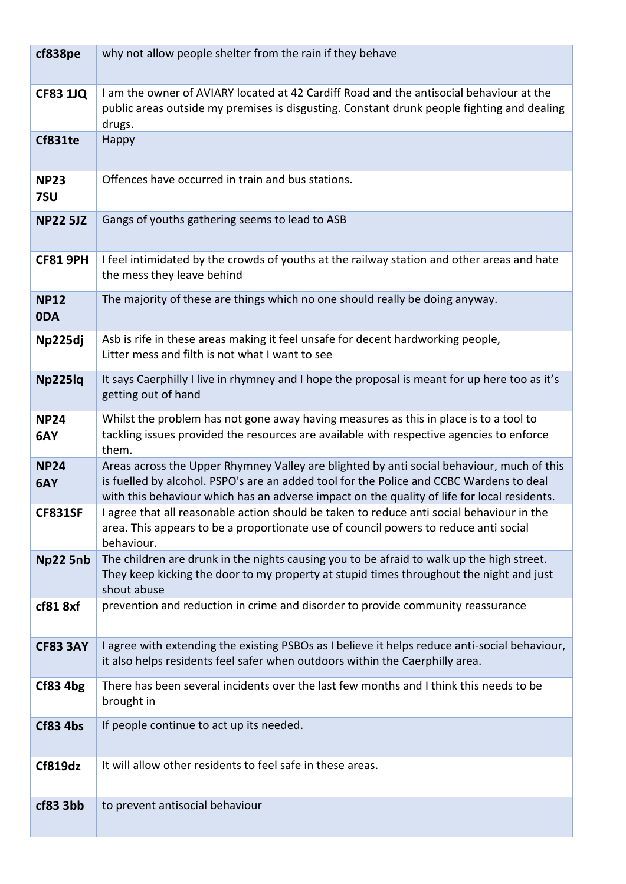| cf838pe            | why not allow people shelter from the rain if they behave                                                                                                                                                                                                                           |
|--------------------|-------------------------------------------------------------------------------------------------------------------------------------------------------------------------------------------------------------------------------------------------------------------------------------|
| <b>CF83 1JQ</b>    | I am the owner of AVIARY located at 42 Cardiff Road and the antisocial behaviour at the<br>public areas outside my premises is disgusting. Constant drunk people fighting and dealing<br>drugs.                                                                                     |
| Cf831te            | Happy                                                                                                                                                                                                                                                                               |
| <b>NP23</b><br>7SU | Offences have occurred in train and bus stations.                                                                                                                                                                                                                                   |
| <b>NP22 5JZ</b>    | Gangs of youths gathering seems to lead to ASB                                                                                                                                                                                                                                      |
| <b>CF81 9PH</b>    | I feel intimidated by the crowds of youths at the railway station and other areas and hate<br>the mess they leave behind                                                                                                                                                            |
| <b>NP12</b><br>0DA | The majority of these are things which no one should really be doing anyway.                                                                                                                                                                                                        |
| Np225dj            | Asb is rife in these areas making it feel unsafe for decent hardworking people,<br>Litter mess and filth is not what I want to see                                                                                                                                                  |
| Np225lq            | It says Caerphilly I live in rhymney and I hope the proposal is meant for up here too as it's<br>getting out of hand                                                                                                                                                                |
| <b>NP24</b><br>6AY | Whilst the problem has not gone away having measures as this in place is to a tool to<br>tackling issues provided the resources are available with respective agencies to enforce<br>them.                                                                                          |
| <b>NP24</b><br>6AY | Areas across the Upper Rhymney Valley are blighted by anti social behaviour, much of this<br>is fuelled by alcohol. PSPO's are an added tool for the Police and CCBC Wardens to deal<br>with this behaviour which has an adverse impact on the quality of life for local residents. |
| <b>CF831SF</b>     | agree that all reasonable action should be taken to reduce anti social behaviour in the<br>area. This appears to be a proportionate use of council powers to reduce anti social<br>behaviour.                                                                                       |
| Np22 5nb           | The children are drunk in the nights causing you to be afraid to walk up the high street.<br>They keep kicking the door to my property at stupid times throughout the night and just<br>shout abuse                                                                                 |
| cf818xf            | prevention and reduction in crime and disorder to provide community reassurance                                                                                                                                                                                                     |
| <b>CF83 3AY</b>    | I agree with extending the existing PSBOs as I believe it helps reduce anti-social behaviour,<br>it also helps residents feel safer when outdoors within the Caerphilly area.                                                                                                       |
| Cf83 4bg           | There has been several incidents over the last few months and I think this needs to be<br>brought in                                                                                                                                                                                |
| <b>Cf83 4bs</b>    | If people continue to act up its needed.                                                                                                                                                                                                                                            |
| Cf819dz            | It will allow other residents to feel safe in these areas.                                                                                                                                                                                                                          |
| cf83 3bb           | to prevent antisocial behaviour                                                                                                                                                                                                                                                     |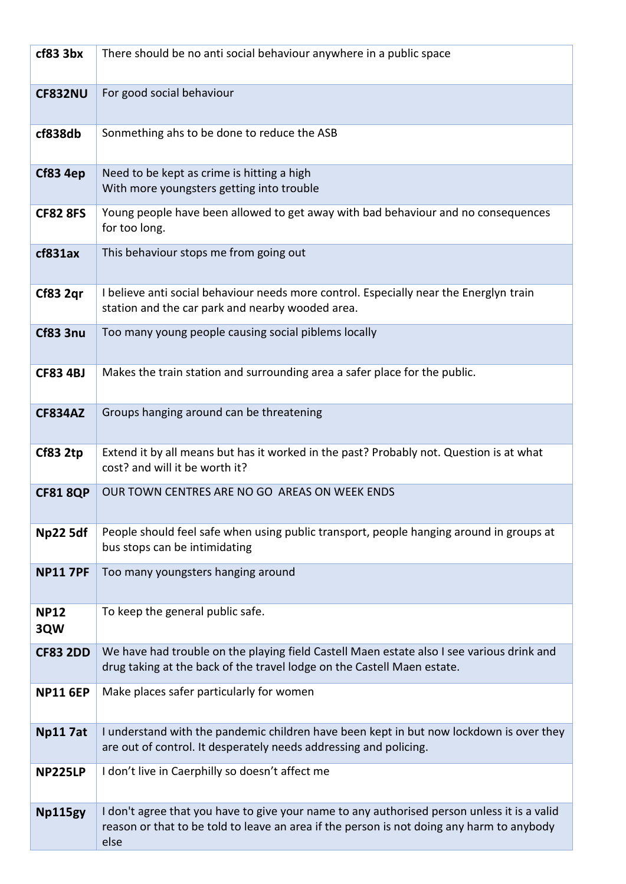| cf83 3bx           | There should be no anti social behaviour anywhere in a public space                                                                                                                              |
|--------------------|--------------------------------------------------------------------------------------------------------------------------------------------------------------------------------------------------|
| <b>CF832NU</b>     | For good social behaviour                                                                                                                                                                        |
| cf838db            | Sonmething ahs to be done to reduce the ASB                                                                                                                                                      |
| Cf83 4ep           | Need to be kept as crime is hitting a high<br>With more youngsters getting into trouble                                                                                                          |
| <b>CF82 8FS</b>    | Young people have been allowed to get away with bad behaviour and no consequences<br>for too long.                                                                                               |
| cf831ax            | This behaviour stops me from going out                                                                                                                                                           |
| Cf83 2qr           | I believe anti social behaviour needs more control. Especially near the Energlyn train<br>station and the car park and nearby wooded area.                                                       |
| <b>Cf83 3nu</b>    | Too many young people causing social piblems locally                                                                                                                                             |
| <b>CF83 4BJ</b>    | Makes the train station and surrounding area a safer place for the public.                                                                                                                       |
| <b>CF834AZ</b>     | Groups hanging around can be threatening                                                                                                                                                         |
| <b>Cf83 2tp</b>    | Extend it by all means but has it worked in the past? Probably not. Question is at what<br>cost? and will it be worth it?                                                                        |
| <b>CF81 8QP</b>    | OUR TOWN CENTRES ARE NO GO AREAS ON WEEK ENDS                                                                                                                                                    |
| <b>Np22 5df</b>    | People should feel safe when using public transport, people hanging around in groups at<br>bus stops can be intimidating                                                                         |
| <b>NP11 7PF</b>    | Too many youngsters hanging around                                                                                                                                                               |
| <b>NP12</b><br>3QW | To keep the general public safe.                                                                                                                                                                 |
| <b>CF83 2DD</b>    | We have had trouble on the playing field Castell Maen estate also I see various drink and<br>drug taking at the back of the travel lodge on the Castell Maen estate.                             |
| <b>NP11 6EP</b>    | Make places safer particularly for women                                                                                                                                                         |
| <b>Np117at</b>     | I understand with the pandemic children have been kept in but now lockdown is over they<br>are out of control. It desperately needs addressing and policing.                                     |
| <b>NP225LP</b>     | I don't live in Caerphilly so doesn't affect me                                                                                                                                                  |
| Np115gy            | I don't agree that you have to give your name to any authorised person unless it is a valid<br>reason or that to be told to leave an area if the person is not doing any harm to anybody<br>else |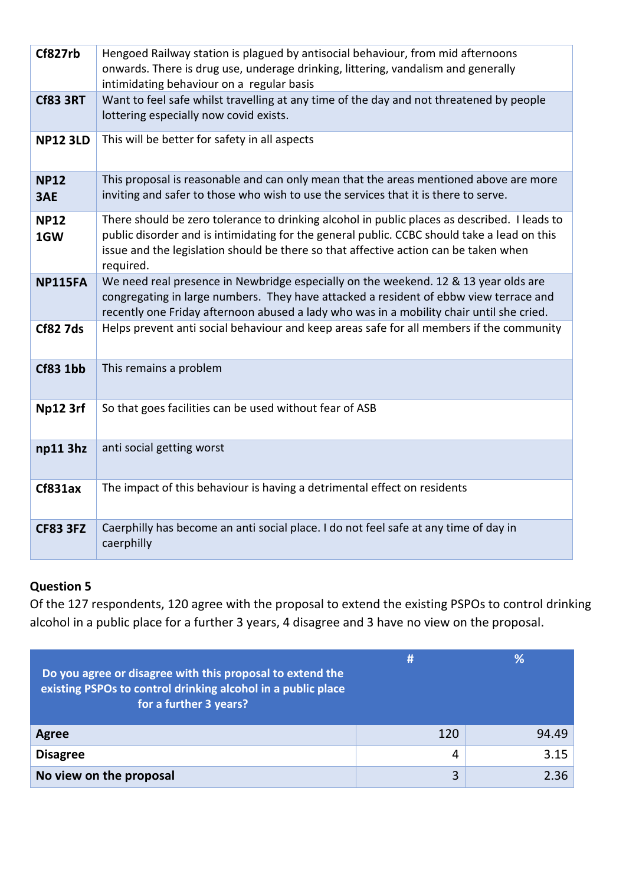| Cf827rb            | Hengoed Railway station is plagued by antisocial behaviour, from mid afternoons<br>onwards. There is drug use, underage drinking, littering, vandalism and generally<br>intimidating behaviour on a regular basis                                                                                |
|--------------------|--------------------------------------------------------------------------------------------------------------------------------------------------------------------------------------------------------------------------------------------------------------------------------------------------|
| <b>Cf83 3RT</b>    | Want to feel safe whilst travelling at any time of the day and not threatened by people<br>lottering especially now covid exists.                                                                                                                                                                |
| <b>NP12 3LD</b>    | This will be better for safety in all aspects                                                                                                                                                                                                                                                    |
| <b>NP12</b><br>3AE | This proposal is reasonable and can only mean that the areas mentioned above are more<br>inviting and safer to those who wish to use the services that it is there to serve.                                                                                                                     |
| <b>NP12</b><br>1GW | There should be zero tolerance to drinking alcohol in public places as described. I leads to<br>public disorder and is intimidating for the general public. CCBC should take a lead on this<br>issue and the legislation should be there so that affective action can be taken when<br>required. |
| <b>NP115FA</b>     | We need real presence in Newbridge especially on the weekend. 12 & 13 year olds are<br>congregating in large numbers. They have attacked a resident of ebbw view terrace and<br>recently one Friday afternoon abused a lady who was in a mobility chair until she cried.                         |
| <b>Cf82 7ds</b>    | Helps prevent anti social behaviour and keep areas safe for all members if the community                                                                                                                                                                                                         |
| <b>Cf83 1bb</b>    | This remains a problem                                                                                                                                                                                                                                                                           |
| Np12 3rf           | So that goes facilities can be used without fear of ASB                                                                                                                                                                                                                                          |
| np113hz            | anti social getting worst                                                                                                                                                                                                                                                                        |
| Cf831ax            | The impact of this behaviour is having a detrimental effect on residents                                                                                                                                                                                                                         |
| <b>CF83 3FZ</b>    | Caerphilly has become an anti social place. I do not feel safe at any time of day in<br>caerphilly                                                                                                                                                                                               |

## **Question 5**

Of the 127 respondents, 120 agree with the proposal to extend the existing PSPOs to control drinking alcohol in a public place for a further 3 years, 4 disagree and 3 have no view on the proposal.

| Do you agree or disagree with this proposal to extend the<br>existing PSPOs to control drinking alcohol in a public place<br>for a further 3 years? | #   |       |
|-----------------------------------------------------------------------------------------------------------------------------------------------------|-----|-------|
| Agree                                                                                                                                               | 120 | 94.49 |
| <b>Disagree</b>                                                                                                                                     | 4   | 3.15  |
| No view on the proposal                                                                                                                             | 3   | 2.36  |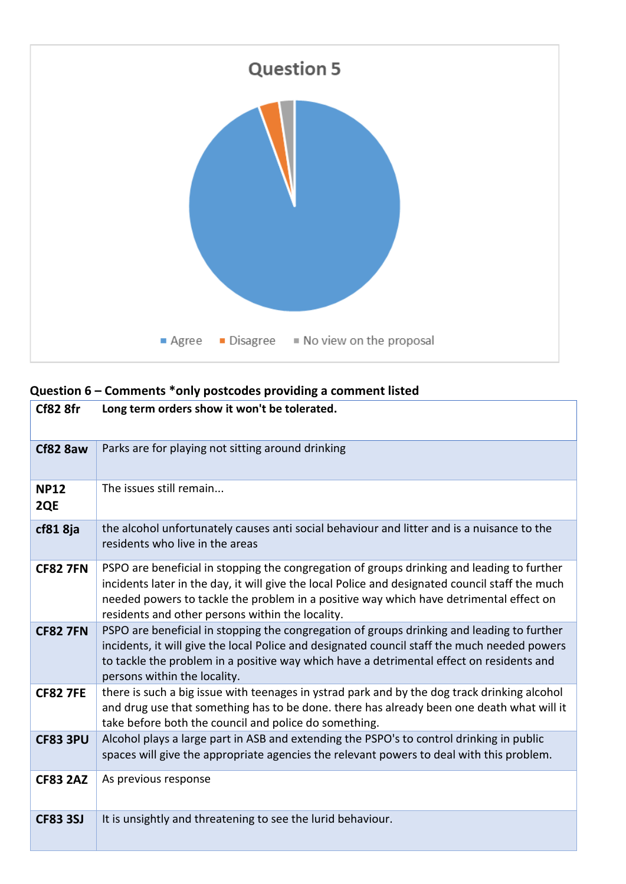

# **Question 6 – Comments \*only postcodes providing a comment listed**

| Cf82 8fr           | Long term orders show it won't be tolerated.                                                                                                                                                                                                                                                                                                |
|--------------------|---------------------------------------------------------------------------------------------------------------------------------------------------------------------------------------------------------------------------------------------------------------------------------------------------------------------------------------------|
| Cf82 8aw           | Parks are for playing not sitting around drinking                                                                                                                                                                                                                                                                                           |
| <b>NP12</b><br>2QE | The issues still remain                                                                                                                                                                                                                                                                                                                     |
| cf81 8ja           | the alcohol unfortunately causes anti social behaviour and litter and is a nuisance to the<br>residents who live in the areas                                                                                                                                                                                                               |
| <b>CF82 7FN</b>    | PSPO are beneficial in stopping the congregation of groups drinking and leading to further<br>incidents later in the day, it will give the local Police and designated council staff the much<br>needed powers to tackle the problem in a positive way which have detrimental effect on<br>residents and other persons within the locality. |
| <b>CF82 7FN</b>    | PSPO are beneficial in stopping the congregation of groups drinking and leading to further<br>incidents, it will give the local Police and designated council staff the much needed powers<br>to tackle the problem in a positive way which have a detrimental effect on residents and<br>persons within the locality.                      |
| <b>CF82 7FE</b>    | there is such a big issue with teenages in ystrad park and by the dog track drinking alcohol<br>and drug use that something has to be done. there has already been one death what will it<br>take before both the council and police do something.                                                                                          |
| <b>CF83 3PU</b>    | Alcohol plays a large part in ASB and extending the PSPO's to control drinking in public<br>spaces will give the appropriate agencies the relevant powers to deal with this problem.                                                                                                                                                        |
| <b>CF83 2AZ</b>    | As previous response                                                                                                                                                                                                                                                                                                                        |
| <b>CF83 3SJ</b>    | It is unsightly and threatening to see the lurid behaviour.                                                                                                                                                                                                                                                                                 |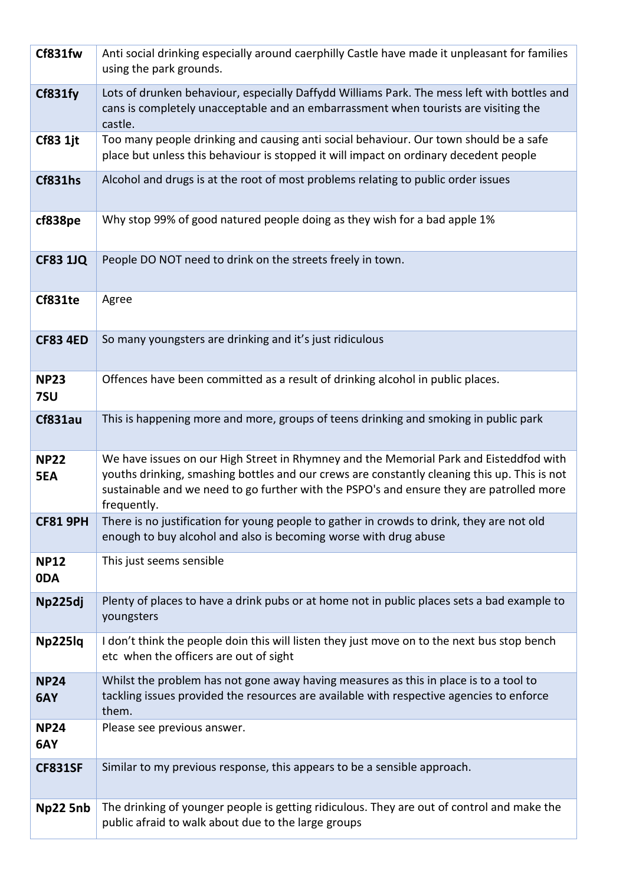| Cf831fw            | Anti social drinking especially around caerphilly Castle have made it unpleasant for families<br>using the park grounds.                                                                                                                                                                          |
|--------------------|---------------------------------------------------------------------------------------------------------------------------------------------------------------------------------------------------------------------------------------------------------------------------------------------------|
| Cf831fy            | Lots of drunken behaviour, especially Daffydd Williams Park. The mess left with bottles and<br>cans is completely unacceptable and an embarrassment when tourists are visiting the<br>castle.                                                                                                     |
| <b>Cf83 1jt</b>    | Too many people drinking and causing anti social behaviour. Our town should be a safe<br>place but unless this behaviour is stopped it will impact on ordinary decedent people                                                                                                                    |
| <b>Cf831hs</b>     | Alcohol and drugs is at the root of most problems relating to public order issues                                                                                                                                                                                                                 |
| cf838pe            | Why stop 99% of good natured people doing as they wish for a bad apple 1%                                                                                                                                                                                                                         |
| <b>CF83 1JQ</b>    | People DO NOT need to drink on the streets freely in town.                                                                                                                                                                                                                                        |
| Cf831te            | Agree                                                                                                                                                                                                                                                                                             |
| <b>CF83 4ED</b>    | So many youngsters are drinking and it's just ridiculous                                                                                                                                                                                                                                          |
| <b>NP23</b><br>7SU | Offences have been committed as a result of drinking alcohol in public places.                                                                                                                                                                                                                    |
| Cf831au            | This is happening more and more, groups of teens drinking and smoking in public park                                                                                                                                                                                                              |
| <b>NP22</b><br>5EA | We have issues on our High Street in Rhymney and the Memorial Park and Eisteddfod with<br>youths drinking, smashing bottles and our crews are constantly cleaning this up. This is not<br>sustainable and we need to go further with the PSPO's and ensure they are patrolled more<br>frequently. |
| <b>CF81 9PH</b>    | There is no justification for young people to gather in crowds to drink, they are not old<br>enough to buy alcohol and also is becoming worse with drug abuse                                                                                                                                     |
| <b>NP12</b><br>0DA | This just seems sensible                                                                                                                                                                                                                                                                          |
| Np225dj            | Plenty of places to have a drink pubs or at home not in public places sets a bad example to<br>youngsters                                                                                                                                                                                         |
| Np225lq            | I don't think the people doin this will listen they just move on to the next bus stop bench<br>etc when the officers are out of sight                                                                                                                                                             |
| <b>NP24</b><br>6AY | Whilst the problem has not gone away having measures as this in place is to a tool to<br>tackling issues provided the resources are available with respective agencies to enforce<br>them.                                                                                                        |
| <b>NP24</b><br>6AY | Please see previous answer.                                                                                                                                                                                                                                                                       |
| <b>CF831SF</b>     | Similar to my previous response, this appears to be a sensible approach.                                                                                                                                                                                                                          |
| Np22 5nb           | The drinking of younger people is getting ridiculous. They are out of control and make the<br>public afraid to walk about due to the large groups                                                                                                                                                 |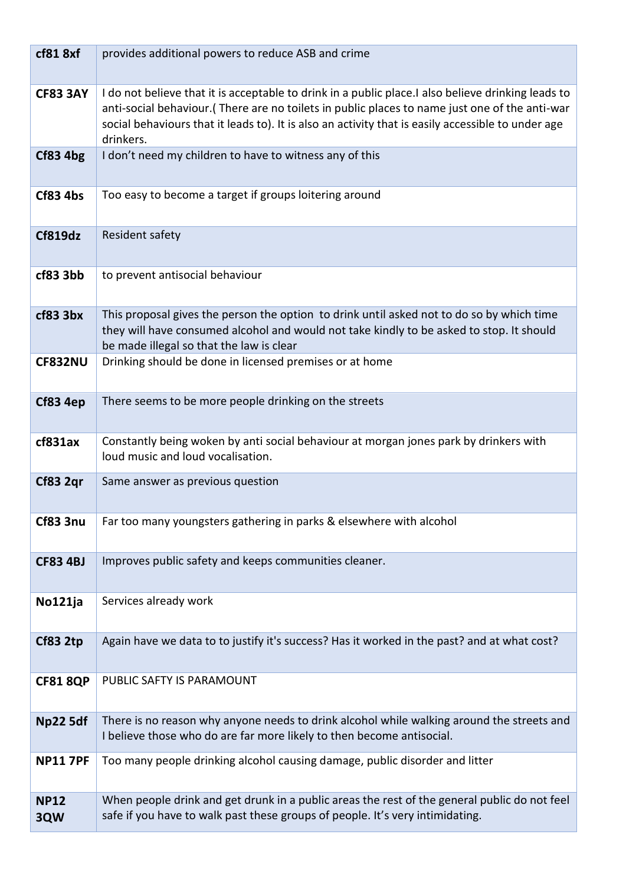| cf818xf            | provides additional powers to reduce ASB and crime                                                                                                                                                                                                                                                                       |
|--------------------|--------------------------------------------------------------------------------------------------------------------------------------------------------------------------------------------------------------------------------------------------------------------------------------------------------------------------|
| <b>CF83 3AY</b>    | I do not believe that it is acceptable to drink in a public place. I also believe drinking leads to<br>anti-social behaviour. (There are no toilets in public places to name just one of the anti-war<br>social behaviours that it leads to). It is also an activity that is easily accessible to under age<br>drinkers. |
| Cf83 4bg           | I don't need my children to have to witness any of this                                                                                                                                                                                                                                                                  |
| <b>Cf83 4bs</b>    | Too easy to become a target if groups loitering around                                                                                                                                                                                                                                                                   |
| Cf819dz            | Resident safety                                                                                                                                                                                                                                                                                                          |
| cf83 3bb           | to prevent antisocial behaviour                                                                                                                                                                                                                                                                                          |
| cf83 3bx           | This proposal gives the person the option to drink until asked not to do so by which time<br>they will have consumed alcohol and would not take kindly to be asked to stop. It should<br>be made illegal so that the law is clear                                                                                        |
| <b>CF832NU</b>     | Drinking should be done in licensed premises or at home                                                                                                                                                                                                                                                                  |
| Cf83 4ep           | There seems to be more people drinking on the streets                                                                                                                                                                                                                                                                    |
| cf831ax            | Constantly being woken by anti social behaviour at morgan jones park by drinkers with<br>loud music and loud vocalisation.                                                                                                                                                                                               |
| Cf83 2qr           | Same answer as previous question                                                                                                                                                                                                                                                                                         |
| <b>Cf83 3nu</b>    | Far too many youngsters gathering in parks & elsewhere with alcohol                                                                                                                                                                                                                                                      |
| <b>CF83 4BJ</b>    | Improves public safety and keeps communities cleaner.                                                                                                                                                                                                                                                                    |
| No121ja            | Services already work                                                                                                                                                                                                                                                                                                    |
| Cf83 2tp           | Again have we data to to justify it's success? Has it worked in the past? and at what cost?                                                                                                                                                                                                                              |
| <b>CF81 8QP</b>    | PUBLIC SAFTY IS PARAMOUNT                                                                                                                                                                                                                                                                                                |
| <b>Np22 5df</b>    | There is no reason why anyone needs to drink alcohol while walking around the streets and<br>I believe those who do are far more likely to then become antisocial.                                                                                                                                                       |
| <b>NP11 7PF</b>    | Too many people drinking alcohol causing damage, public disorder and litter                                                                                                                                                                                                                                              |
| <b>NP12</b><br>3QW | When people drink and get drunk in a public areas the rest of the general public do not feel<br>safe if you have to walk past these groups of people. It's very intimidating.                                                                                                                                            |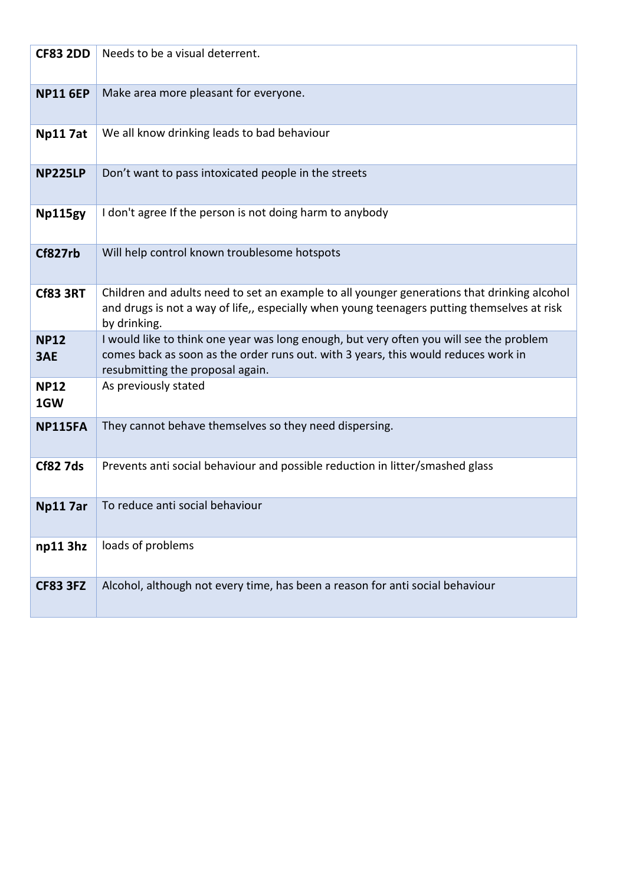| <b>CF83 2DD</b>    | Needs to be a visual deterrent.                                                                                                                                                                                   |
|--------------------|-------------------------------------------------------------------------------------------------------------------------------------------------------------------------------------------------------------------|
| <b>NP11 6EP</b>    | Make area more pleasant for everyone.                                                                                                                                                                             |
| <b>Np117at</b>     | We all know drinking leads to bad behaviour                                                                                                                                                                       |
| <b>NP225LP</b>     | Don't want to pass intoxicated people in the streets                                                                                                                                                              |
| Np115gy            | I don't agree If the person is not doing harm to anybody                                                                                                                                                          |
| Cf827rb            | Will help control known troublesome hotspots                                                                                                                                                                      |
| <b>Cf83 3RT</b>    | Children and adults need to set an example to all younger generations that drinking alcohol<br>and drugs is not a way of life,, especially when young teenagers putting themselves at risk<br>by drinking.        |
| <b>NP12</b><br>3AE | I would like to think one year was long enough, but very often you will see the problem<br>comes back as soon as the order runs out. with 3 years, this would reduces work in<br>resubmitting the proposal again. |
| <b>NP12</b><br>1GW | As previously stated                                                                                                                                                                                              |
| <b>NP115FA</b>     | They cannot behave themselves so they need dispersing.                                                                                                                                                            |
| <b>Cf82 7ds</b>    | Prevents anti social behaviour and possible reduction in litter/smashed glass                                                                                                                                     |
| <b>Np117ar</b>     | To reduce anti social behaviour                                                                                                                                                                                   |
| np113hz            | loads of problems                                                                                                                                                                                                 |
| <b>CF83 3FZ</b>    | Alcohol, although not every time, has been a reason for anti social behaviour                                                                                                                                     |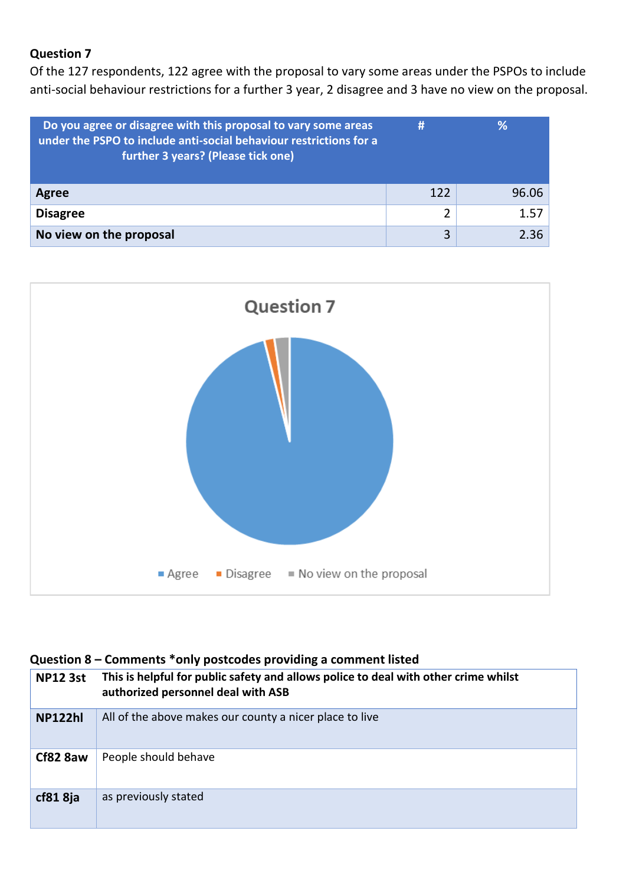### **Question 7**

Of the 127 respondents, 122 agree with the proposal to vary some areas under the PSPOs to include anti-social behaviour restrictions for a further 3 year, 2 disagree and 3 have no view on the proposal.

| Do you agree or disagree with this proposal to vary some areas<br>under the PSPO to include anti-social behaviour restrictions for a<br>further 3 years? (Please tick one) | #   | %     |
|----------------------------------------------------------------------------------------------------------------------------------------------------------------------------|-----|-------|
| Agree                                                                                                                                                                      | 122 | 96.06 |
| <b>Disagree</b>                                                                                                                                                            | 2   | 1.57  |
| No view on the proposal                                                                                                                                                    | 3   | 2.36  |



### **Question 8 – Comments \*only postcodes providing a comment listed**

| <b>NP12 3st</b>     | This is helpful for public safety and allows police to deal with other crime whilst<br>authorized personnel deal with ASB |
|---------------------|---------------------------------------------------------------------------------------------------------------------------|
| <b>NP122hl</b>      | All of the above makes our county a nicer place to live                                                                   |
| Cf82 8aw            | People should behave                                                                                                      |
| cf81 <sub>8ja</sub> | as previously stated                                                                                                      |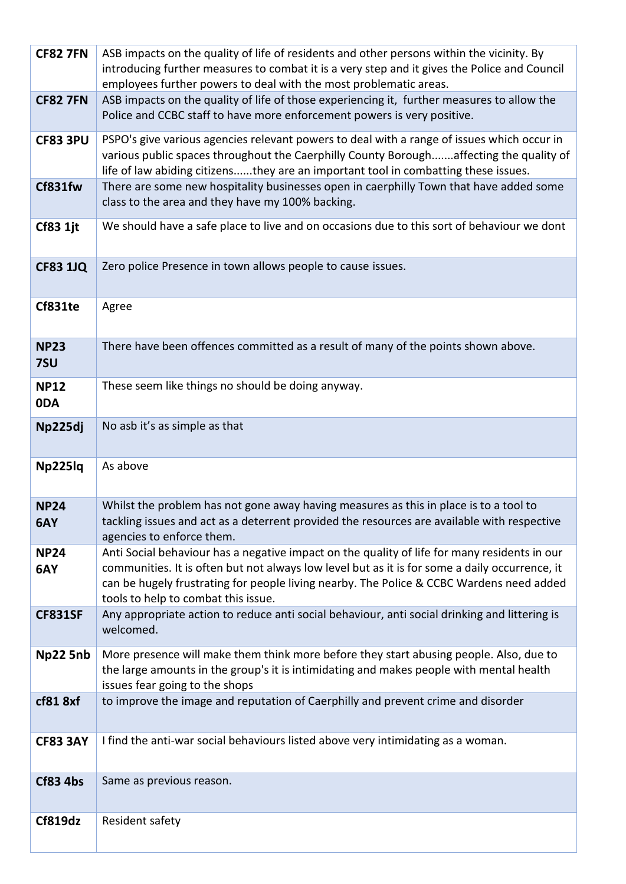| <b>CF82 7FN</b>    | ASB impacts on the quality of life of residents and other persons within the vicinity. By<br>introducing further measures to combat it is a very step and it gives the Police and Council<br>employees further powers to deal with the most problematic areas.                                                                    |
|--------------------|-----------------------------------------------------------------------------------------------------------------------------------------------------------------------------------------------------------------------------------------------------------------------------------------------------------------------------------|
| <b>CF82 7FN</b>    | ASB impacts on the quality of life of those experiencing it, further measures to allow the<br>Police and CCBC staff to have more enforcement powers is very positive.                                                                                                                                                             |
| <b>CF83 3PU</b>    | PSPO's give various agencies relevant powers to deal with a range of issues which occur in<br>various public spaces throughout the Caerphilly County Boroughaffecting the quality of<br>life of law abiding citizensthey are an important tool in combatting these issues.                                                        |
| Cf831fw            | There are some new hospitality businesses open in caerphilly Town that have added some<br>class to the area and they have my 100% backing.                                                                                                                                                                                        |
| <b>Cf83 1jt</b>    | We should have a safe place to live and on occasions due to this sort of behaviour we dont                                                                                                                                                                                                                                        |
| <b>CF83 1JQ</b>    | Zero police Presence in town allows people to cause issues.                                                                                                                                                                                                                                                                       |
| Cf831te            | Agree                                                                                                                                                                                                                                                                                                                             |
| <b>NP23</b><br>7SU | There have been offences committed as a result of many of the points shown above.                                                                                                                                                                                                                                                 |
| <b>NP12</b><br>0DA | These seem like things no should be doing anyway.                                                                                                                                                                                                                                                                                 |
| Np225dj            | No asb it's as simple as that                                                                                                                                                                                                                                                                                                     |
| Np225lq            | As above                                                                                                                                                                                                                                                                                                                          |
| <b>NP24</b><br>6AY | Whilst the problem has not gone away having measures as this in place is to a tool to<br>tackling issues and act as a deterrent provided the resources are available with respective<br>agencies to enforce them.                                                                                                                 |
| <b>NP24</b><br>6AY | Anti Social behaviour has a negative impact on the quality of life for many residents in our<br>communities. It is often but not always low level but as it is for some a daily occurrence, it<br>can be hugely frustrating for people living nearby. The Police & CCBC Wardens need added<br>tools to help to combat this issue. |
| <b>CF831SF</b>     | Any appropriate action to reduce anti social behaviour, anti social drinking and littering is<br>welcomed.                                                                                                                                                                                                                        |
| Np22 5nb           | More presence will make them think more before they start abusing people. Also, due to<br>the large amounts in the group's it is intimidating and makes people with mental health<br>issues fear going to the shops                                                                                                               |
| cf81 8xf           | to improve the image and reputation of Caerphilly and prevent crime and disorder                                                                                                                                                                                                                                                  |
| <b>CF83 3AY</b>    | I find the anti-war social behaviours listed above very intimidating as a woman.                                                                                                                                                                                                                                                  |
| <b>Cf83 4bs</b>    | Same as previous reason.                                                                                                                                                                                                                                                                                                          |
| Cf819dz            | Resident safety                                                                                                                                                                                                                                                                                                                   |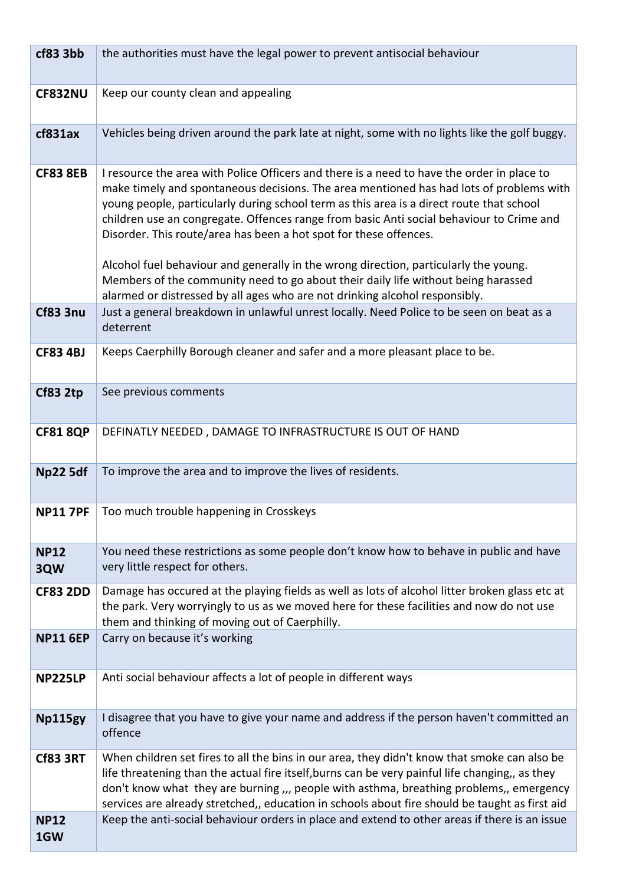| cf83 3bb           | the authorities must have the legal power to prevent antisocial behaviour                                                                                                                                                                                                                                                                                                                                                                                                                                                                                                                                                                                                                                      |
|--------------------|----------------------------------------------------------------------------------------------------------------------------------------------------------------------------------------------------------------------------------------------------------------------------------------------------------------------------------------------------------------------------------------------------------------------------------------------------------------------------------------------------------------------------------------------------------------------------------------------------------------------------------------------------------------------------------------------------------------|
| <b>CF832NU</b>     | Keep our county clean and appealing                                                                                                                                                                                                                                                                                                                                                                                                                                                                                                                                                                                                                                                                            |
| cf831ax            | Vehicles being driven around the park late at night, some with no lights like the golf buggy.                                                                                                                                                                                                                                                                                                                                                                                                                                                                                                                                                                                                                  |
| <b>CF83 8EB</b>    | I resource the area with Police Officers and there is a need to have the order in place to<br>make timely and spontaneous decisions. The area mentioned has had lots of problems with<br>young people, particularly during school term as this area is a direct route that school<br>children use an congregate. Offences range from basic Anti social behaviour to Crime and<br>Disorder. This route/area has been a hot spot for these offences.<br>Alcohol fuel behaviour and generally in the wrong direction, particularly the young.<br>Members of the community need to go about their daily life without being harassed<br>alarmed or distressed by all ages who are not drinking alcohol responsibly. |
| <b>Cf83 3nu</b>    | Just a general breakdown in unlawful unrest locally. Need Police to be seen on beat as a<br>deterrent                                                                                                                                                                                                                                                                                                                                                                                                                                                                                                                                                                                                          |
| <b>CF83 4BJ</b>    | Keeps Caerphilly Borough cleaner and safer and a more pleasant place to be.                                                                                                                                                                                                                                                                                                                                                                                                                                                                                                                                                                                                                                    |
| <b>Cf83 2tp</b>    | See previous comments                                                                                                                                                                                                                                                                                                                                                                                                                                                                                                                                                                                                                                                                                          |
| <b>CF81 8QP</b>    | DEFINATLY NEEDED, DAMAGE TO INFRASTRUCTURE IS OUT OF HAND                                                                                                                                                                                                                                                                                                                                                                                                                                                                                                                                                                                                                                                      |
| <b>Np22 5df</b>    | To improve the area and to improve the lives of residents.                                                                                                                                                                                                                                                                                                                                                                                                                                                                                                                                                                                                                                                     |
| <b>NP11 7PF</b>    | Too much trouble happening in Crosskeys                                                                                                                                                                                                                                                                                                                                                                                                                                                                                                                                                                                                                                                                        |
| <b>NP12</b><br>3QW | You need these restrictions as some people don't know how to behave in public and have<br>very little respect for others.                                                                                                                                                                                                                                                                                                                                                                                                                                                                                                                                                                                      |
| <b>CF83 2DD</b>    | Damage has occured at the playing fields as well as lots of alcohol litter broken glass etc at<br>the park. Very worryingly to us as we moved here for these facilities and now do not use<br>them and thinking of moving out of Caerphilly.                                                                                                                                                                                                                                                                                                                                                                                                                                                                   |
| <b>NP11 6EP</b>    | Carry on because it's working                                                                                                                                                                                                                                                                                                                                                                                                                                                                                                                                                                                                                                                                                  |
| <b>NP225LP</b>     | Anti social behaviour affects a lot of people in different ways                                                                                                                                                                                                                                                                                                                                                                                                                                                                                                                                                                                                                                                |
| Np115gy            | I disagree that you have to give your name and address if the person haven't committed an<br>offence                                                                                                                                                                                                                                                                                                                                                                                                                                                                                                                                                                                                           |
| <b>Cf83 3RT</b>    | When children set fires to all the bins in our area, they didn't know that smoke can also be<br>life threatening than the actual fire itself, burns can be very painful life changing,, as they<br>don't know what they are burning ,,, people with asthma, breathing problems,, emergency<br>services are already stretched,, education in schools about fire should be taught as first aid                                                                                                                                                                                                                                                                                                                   |
| <b>NP12</b><br>1GW | Keep the anti-social behaviour orders in place and extend to other areas if there is an issue                                                                                                                                                                                                                                                                                                                                                                                                                                                                                                                                                                                                                  |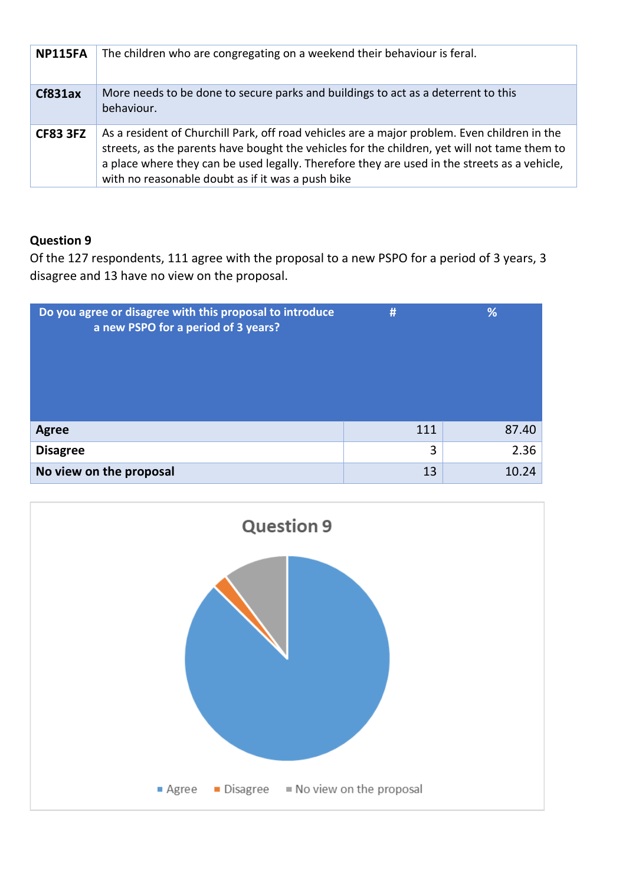| <b>NP115FA</b>  | The children who are congregating on a weekend their behaviour is feral.                                                                                                                                                                                                                                                                          |
|-----------------|---------------------------------------------------------------------------------------------------------------------------------------------------------------------------------------------------------------------------------------------------------------------------------------------------------------------------------------------------|
| Cf831ax         | More needs to be done to secure parks and buildings to act as a deterrent to this<br>behaviour.                                                                                                                                                                                                                                                   |
| <b>CF83 3FZ</b> | As a resident of Churchill Park, off road vehicles are a major problem. Even children in the<br>streets, as the parents have bought the vehicles for the children, yet will not tame them to<br>a place where they can be used legally. Therefore they are used in the streets as a vehicle,<br>with no reasonable doubt as if it was a push bike |

### **Question 9**

Of the 127 respondents, 111 agree with the proposal to a new PSPO for a period of 3 years, 3 disagree and 13 have no view on the proposal.

| Do you agree or disagree with this proposal to introduce<br>a new PSPO for a period of 3 years? | #   | %     |
|-------------------------------------------------------------------------------------------------|-----|-------|
| <b>Agree</b>                                                                                    | 111 | 87.40 |
| <b>Disagree</b>                                                                                 | 3   | 2.36  |
| No view on the proposal                                                                         | 13  | 10.24 |

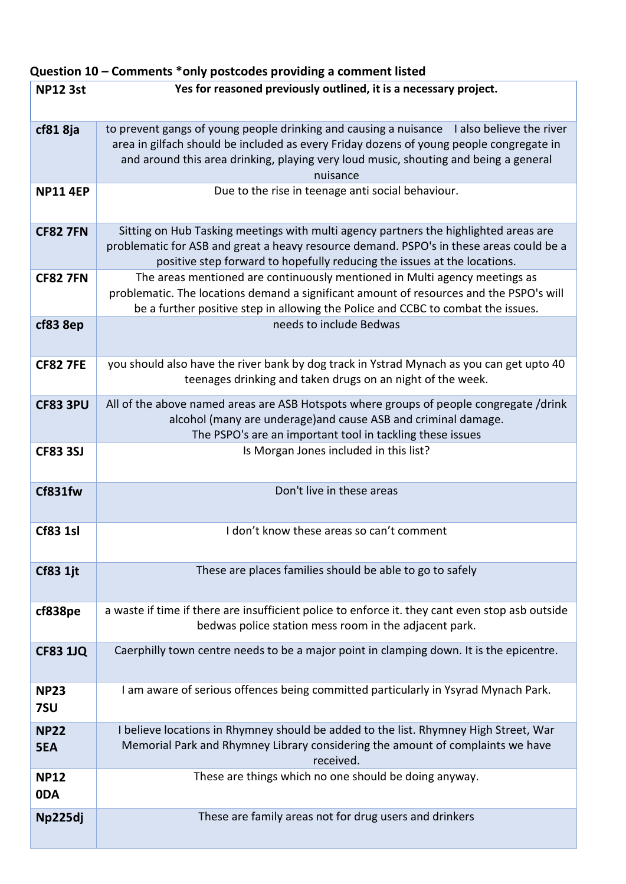# **Question 10 – Comments \*only postcodes providing a comment listed**

| <b>NP12 3st</b>    | Yes for reasoned previously outlined, it is a necessary project.                                                                                                      |
|--------------------|-----------------------------------------------------------------------------------------------------------------------------------------------------------------------|
|                    |                                                                                                                                                                       |
| cf81 8ja           | to prevent gangs of young people drinking and causing a nuisance I also believe the river                                                                             |
|                    | area in gilfach should be included as every Friday dozens of young people congregate in                                                                               |
|                    | and around this area drinking, playing very loud music, shouting and being a general<br>nuisance                                                                      |
| <b>NP11 4EP</b>    | Due to the rise in teenage anti social behaviour.                                                                                                                     |
|                    |                                                                                                                                                                       |
| <b>CF82 7FN</b>    | Sitting on Hub Tasking meetings with multi agency partners the highlighted areas are                                                                                  |
|                    | problematic for ASB and great a heavy resource demand. PSPO's in these areas could be a                                                                               |
|                    | positive step forward to hopefully reducing the issues at the locations.                                                                                              |
| <b>CF82 7FN</b>    | The areas mentioned are continuously mentioned in Multi agency meetings as<br>problematic. The locations demand a significant amount of resources and the PSPO's will |
|                    | be a further positive step in allowing the Police and CCBC to combat the issues.                                                                                      |
| cf83 8ep           | needs to include Bedwas                                                                                                                                               |
|                    |                                                                                                                                                                       |
| <b>CF82 7FE</b>    | you should also have the river bank by dog track in Ystrad Mynach as you can get upto 40                                                                              |
|                    | teenages drinking and taken drugs on an night of the week.                                                                                                            |
|                    |                                                                                                                                                                       |
| <b>CF83 3PU</b>    | All of the above named areas are ASB Hotspots where groups of people congregate /drink                                                                                |
|                    | alcohol (many are underage) and cause ASB and criminal damage.<br>The PSPO's are an important tool in tackling these issues                                           |
| <b>CF83 3SJ</b>    | Is Morgan Jones included in this list?                                                                                                                                |
|                    |                                                                                                                                                                       |
|                    | Don't live in these areas                                                                                                                                             |
| Cf831fw            |                                                                                                                                                                       |
|                    |                                                                                                                                                                       |
| <b>Cf83 1sl</b>    | I don't know these areas so can't comment                                                                                                                             |
|                    |                                                                                                                                                                       |
| <b>Cf83 1jt</b>    | These are places families should be able to go to safely                                                                                                              |
|                    |                                                                                                                                                                       |
| cf838pe            | a waste if time if there are insufficient police to enforce it. they cant even stop asb outside                                                                       |
|                    | bedwas police station mess room in the adjacent park.                                                                                                                 |
| <b>CF83 1JQ</b>    | Caerphilly town centre needs to be a major point in clamping down. It is the epicentre.                                                                               |
|                    |                                                                                                                                                                       |
|                    |                                                                                                                                                                       |
| <b>NP23</b><br>7SU | I am aware of serious offences being committed particularly in Ysyrad Mynach Park.                                                                                    |
|                    |                                                                                                                                                                       |
| <b>NP22</b>        | I believe locations in Rhymney should be added to the list. Rhymney High Street, War                                                                                  |
| 5EA                | Memorial Park and Rhymney Library considering the amount of complaints we have<br>received.                                                                           |
| <b>NP12</b>        | These are things which no one should be doing anyway.                                                                                                                 |
| 0DA                |                                                                                                                                                                       |
|                    |                                                                                                                                                                       |
| Np225dj            | These are family areas not for drug users and drinkers                                                                                                                |
|                    |                                                                                                                                                                       |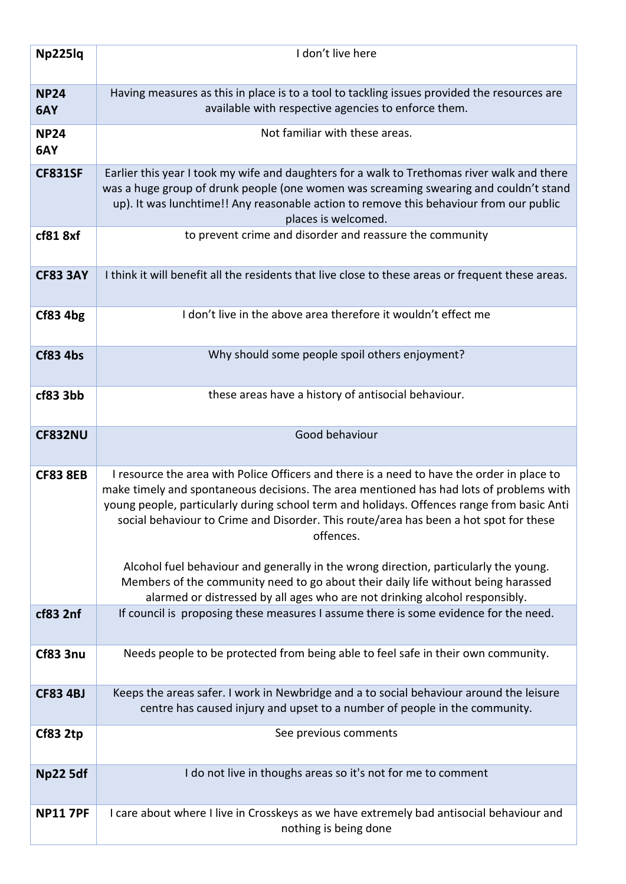| Np225lq             | I don't live here                                                                                                                                                                                                                                                                                                                                                                                                                                                                 |
|---------------------|-----------------------------------------------------------------------------------------------------------------------------------------------------------------------------------------------------------------------------------------------------------------------------------------------------------------------------------------------------------------------------------------------------------------------------------------------------------------------------------|
|                     |                                                                                                                                                                                                                                                                                                                                                                                                                                                                                   |
| <b>NP24</b><br>6AY  | Having measures as this in place is to a tool to tackling issues provided the resources are<br>available with respective agencies to enforce them.                                                                                                                                                                                                                                                                                                                                |
| <b>NP24</b><br>6AY  | Not familiar with these areas.                                                                                                                                                                                                                                                                                                                                                                                                                                                    |
| <b>CF831SF</b>      | Earlier this year I took my wife and daughters for a walk to Trethomas river walk and there<br>was a huge group of drunk people (one women was screaming swearing and couldn't stand<br>up). It was lunchtime!! Any reasonable action to remove this behaviour from our public<br>places is welcomed.                                                                                                                                                                             |
| cf81 <sub>8xf</sub> | to prevent crime and disorder and reassure the community                                                                                                                                                                                                                                                                                                                                                                                                                          |
| <b>CF83 3AY</b>     | I think it will benefit all the residents that live close to these areas or frequent these areas.                                                                                                                                                                                                                                                                                                                                                                                 |
| Cf83 4bg            | I don't live in the above area therefore it wouldn't effect me                                                                                                                                                                                                                                                                                                                                                                                                                    |
| <b>Cf83 4bs</b>     | Why should some people spoil others enjoyment?                                                                                                                                                                                                                                                                                                                                                                                                                                    |
| cf83 3bb            | these areas have a history of antisocial behaviour.                                                                                                                                                                                                                                                                                                                                                                                                                               |
| <b>CF832NU</b>      | Good behaviour                                                                                                                                                                                                                                                                                                                                                                                                                                                                    |
| <b>CF83 8EB</b>     | I resource the area with Police Officers and there is a need to have the order in place to<br>make timely and spontaneous decisions. The area mentioned has had lots of problems with<br>young people, particularly during school term and holidays. Offences range from basic Anti<br>social behaviour to Crime and Disorder. This route/area has been a hot spot for these<br>offences.<br>Alcohol fuel behaviour and generally in the wrong direction, particularly the young. |
|                     | Members of the community need to go about their daily life without being harassed<br>alarmed or distressed by all ages who are not drinking alcohol responsibly.                                                                                                                                                                                                                                                                                                                  |
| cf83 2nf            | If council is proposing these measures I assume there is some evidence for the need.                                                                                                                                                                                                                                                                                                                                                                                              |
| Cf83 3nu            | Needs people to be protected from being able to feel safe in their own community.                                                                                                                                                                                                                                                                                                                                                                                                 |
| <b>CF83 4BJ</b>     | Keeps the areas safer. I work in Newbridge and a to social behaviour around the leisure<br>centre has caused injury and upset to a number of people in the community.                                                                                                                                                                                                                                                                                                             |
| <b>Cf83 2tp</b>     | See previous comments                                                                                                                                                                                                                                                                                                                                                                                                                                                             |
| <b>Np22 5df</b>     | I do not live in thoughs areas so it's not for me to comment                                                                                                                                                                                                                                                                                                                                                                                                                      |
| <b>NP11 7PF</b>     | I care about where I live in Crosskeys as we have extremely bad antisocial behaviour and<br>nothing is being done                                                                                                                                                                                                                                                                                                                                                                 |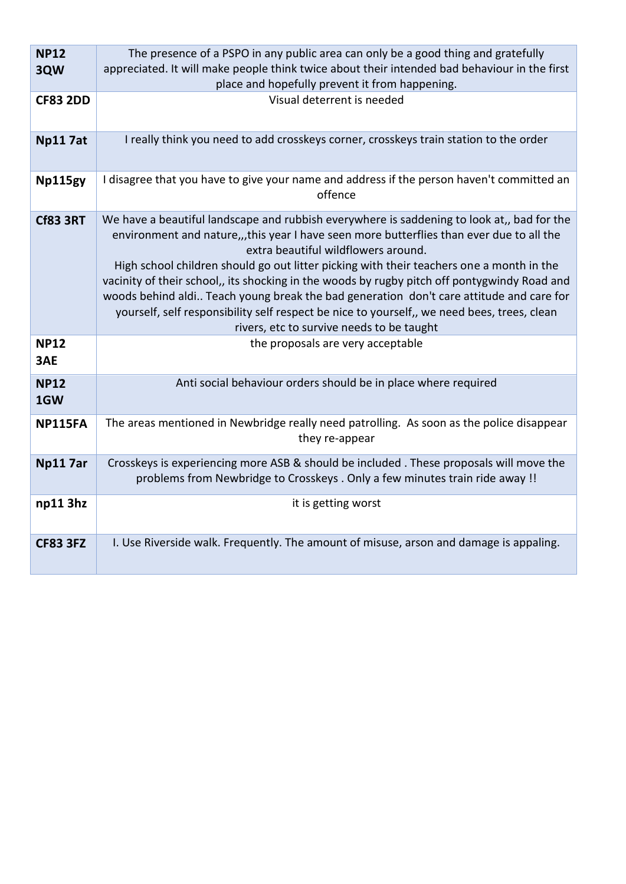| <b>NP12</b><br>3QW | The presence of a PSPO in any public area can only be a good thing and gratefully<br>appreciated. It will make people think twice about their intended bad behaviour in the first<br>place and hopefully prevent it from happening.                                                                                                                                                                                                                                                                                                                                                                                                                              |
|--------------------|------------------------------------------------------------------------------------------------------------------------------------------------------------------------------------------------------------------------------------------------------------------------------------------------------------------------------------------------------------------------------------------------------------------------------------------------------------------------------------------------------------------------------------------------------------------------------------------------------------------------------------------------------------------|
| <b>CF83 2DD</b>    | Visual deterrent is needed                                                                                                                                                                                                                                                                                                                                                                                                                                                                                                                                                                                                                                       |
| <b>Np117at</b>     | I really think you need to add crosskeys corner, crosskeys train station to the order                                                                                                                                                                                                                                                                                                                                                                                                                                                                                                                                                                            |
| Np115gy            | I disagree that you have to give your name and address if the person haven't committed an<br>offence                                                                                                                                                                                                                                                                                                                                                                                                                                                                                                                                                             |
| <b>Cf83 3RT</b>    | We have a beautiful landscape and rubbish everywhere is saddening to look at,, bad for the<br>environment and nature,,,this year I have seen more butterflies than ever due to all the<br>extra beautiful wildflowers around.<br>High school children should go out litter picking with their teachers one a month in the<br>vacinity of their school,, its shocking in the woods by rugby pitch off pontygwindy Road and<br>woods behind aldi Teach young break the bad generation don't care attitude and care for<br>yourself, self responsibility self respect be nice to yourself,, we need bees, trees, clean<br>rivers, etc to survive needs to be taught |
| <b>NP12</b><br>3AE | the proposals are very acceptable                                                                                                                                                                                                                                                                                                                                                                                                                                                                                                                                                                                                                                |
| <b>NP12</b><br>1GW | Anti social behaviour orders should be in place where required                                                                                                                                                                                                                                                                                                                                                                                                                                                                                                                                                                                                   |
| <b>NP115FA</b>     | The areas mentioned in Newbridge really need patrolling. As soon as the police disappear<br>they re-appear                                                                                                                                                                                                                                                                                                                                                                                                                                                                                                                                                       |
| Np11 7ar           | Crosskeys is experiencing more ASB & should be included . These proposals will move the<br>problems from Newbridge to Crosskeys . Only a few minutes train ride away !!                                                                                                                                                                                                                                                                                                                                                                                                                                                                                          |
| np113hz            | it is getting worst                                                                                                                                                                                                                                                                                                                                                                                                                                                                                                                                                                                                                                              |
| <b>CF83 3FZ</b>    | I. Use Riverside walk. Frequently. The amount of misuse, arson and damage is appaling.                                                                                                                                                                                                                                                                                                                                                                                                                                                                                                                                                                           |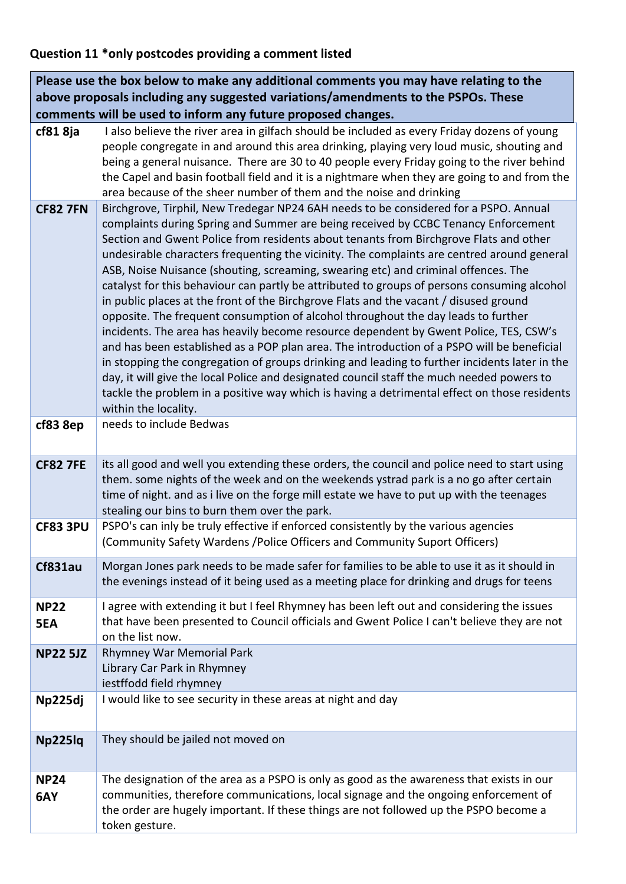#### **Question 11 \*only postcodes providing a comment listed**

**cf81 8ja** I also believe the river area in gilfach should be included as every Friday dozens of young people congregate in and around this area drinking, playing very loud music, shouting and being a general nuisance. There are 30 to 40 people every Friday going to the river behind the Capel and basin football field and it is a nightmare when they are going to and from the area because of the sheer number of them and the noise and drinking **CF82 7FN** Birchgrove, Tirphil, New Tredegar NP24 6AH needs to be considered for a PSPO. Annual complaints during Spring and Summer are being received by CCBC Tenancy Enforcement Section and Gwent Police from residents about tenants from Birchgrove Flats and other undesirable characters frequenting the vicinity. The complaints are centred around general ASB, Noise Nuisance (shouting, screaming, swearing etc) and criminal offences. The catalyst for this behaviour can partly be attributed to groups of persons consuming alcohol in public places at the front of the Birchgrove Flats and the vacant / disused ground opposite. The frequent consumption of alcohol throughout the day leads to further incidents. The area has heavily become resource dependent by Gwent Police, TES, CSW's and has been established as a POP plan area. The introduction of a PSPO will be beneficial in stopping the congregation of groups drinking and leading to further incidents later in the day, it will give the local Police and designated council staff the much needed powers to tackle the problem in a positive way which is having a detrimental effect on those residents within the locality. **cf83 8ep** | needs to include Bedwas **CF82 7FE** its all good and well you extending these orders, the council and police need to start using them. some nights of the week and on the weekends ystrad park is a no go after certain time of night. and as i live on the forge mill estate we have to put up with the teenages stealing our bins to burn them over the park. **CF83 3PU** PSPO's can inly be truly effective if enforced consistently by the various agencies (Community Safety Wardens /Police Officers and Community Suport Officers) **Cf831au** Morgan Jones park needs to be made safer for families to be able to use it as it should in the evenings instead of it being used as a meeting place for drinking and drugs for teens **NP22 5EA** I agree with extending it but I feel Rhymney has been left out and considering the issues that have been presented to Council officials and Gwent Police I can't believe they are not on the list now. **NP22 5JZ** Rhymney War Memorial Park Library Car Park in Rhymney iestffodd field rhymney **Np225dj** I would like to see security in these areas at night and day **Np225lq** They should be jailed not moved on **NP24 6AY** The designation of the area as a PSPO is only as good as the awareness that exists in our communities, therefore communications, local signage and the ongoing enforcement of the order are hugely important. If these things are not followed up the PSPO become a token gesture. **Please use the box below to make any additional comments you may have relating to the above proposals including any suggested variations/amendments to the PSPOs. These comments will be used to inform any future proposed changes.**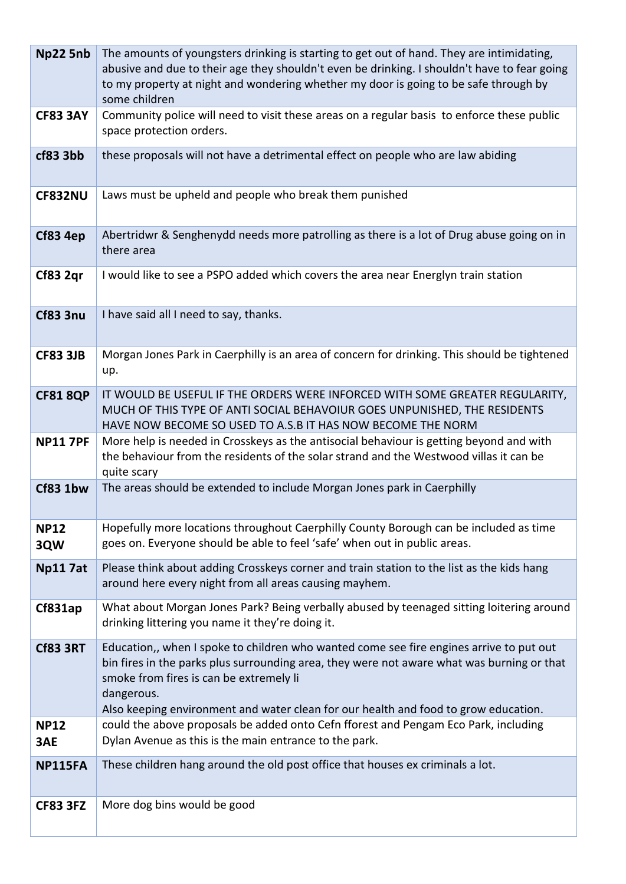| Np22 5nb           | The amounts of youngsters drinking is starting to get out of hand. They are intimidating,<br>abusive and due to their age they shouldn't even be drinking. I shouldn't have to fear going<br>to my property at night and wondering whether my door is going to be safe through by<br>some children                                    |
|--------------------|---------------------------------------------------------------------------------------------------------------------------------------------------------------------------------------------------------------------------------------------------------------------------------------------------------------------------------------|
| <b>CF83 3AY</b>    | Community police will need to visit these areas on a regular basis to enforce these public<br>space protection orders.                                                                                                                                                                                                                |
| cf83 3bb           | these proposals will not have a detrimental effect on people who are law abiding                                                                                                                                                                                                                                                      |
| <b>CF832NU</b>     | Laws must be upheld and people who break them punished                                                                                                                                                                                                                                                                                |
| Cf83 4ep           | Abertridwr & Senghenydd needs more patrolling as there is a lot of Drug abuse going on in<br>there area                                                                                                                                                                                                                               |
| Cf83 2qr           | I would like to see a PSPO added which covers the area near Energlyn train station                                                                                                                                                                                                                                                    |
| <b>Cf83 3nu</b>    | I have said all I need to say, thanks.                                                                                                                                                                                                                                                                                                |
| <b>CF83 3JB</b>    | Morgan Jones Park in Caerphilly is an area of concern for drinking. This should be tightened<br>up.                                                                                                                                                                                                                                   |
| <b>CF81 8QP</b>    | IT WOULD BE USEFUL IF THE ORDERS WERE INFORCED WITH SOME GREATER REGULARITY,<br>MUCH OF THIS TYPE OF ANTI SOCIAL BEHAVOIUR GOES UNPUNISHED, THE RESIDENTS<br>HAVE NOW BECOME SO USED TO A.S.B IT HAS NOW BECOME THE NORM                                                                                                              |
| <b>NP11 7PF</b>    | More help is needed in Crosskeys as the antisocial behaviour is getting beyond and with<br>the behaviour from the residents of the solar strand and the Westwood villas it can be<br>quite scary                                                                                                                                      |
| Cf83 1bw           | The areas should be extended to include Morgan Jones park in Caerphilly                                                                                                                                                                                                                                                               |
| <b>NP12</b><br>3QW | Hopefully more locations throughout Caerphilly County Borough can be included as time<br>goes on. Everyone should be able to feel 'safe' when out in public areas.                                                                                                                                                                    |
| <b>Np117at</b>     | Please think about adding Crosskeys corner and train station to the list as the kids hang<br>around here every night from all areas causing mayhem.                                                                                                                                                                                   |
| Cf831ap            | What about Morgan Jones Park? Being verbally abused by teenaged sitting loitering around<br>drinking littering you name it they're doing it.                                                                                                                                                                                          |
| <b>Cf83 3RT</b>    | Education,, when I spoke to children who wanted come see fire engines arrive to put out<br>bin fires in the parks plus surrounding area, they were not aware what was burning or that<br>smoke from fires is can be extremely li<br>dangerous.<br>Also keeping environment and water clean for our health and food to grow education. |
| <b>NP12</b><br>3AE | could the above proposals be added onto Cefn fforest and Pengam Eco Park, including<br>Dylan Avenue as this is the main entrance to the park.                                                                                                                                                                                         |
| <b>NP115FA</b>     | These children hang around the old post office that houses ex criminals a lot.                                                                                                                                                                                                                                                        |
| <b>CF83 3FZ</b>    | More dog bins would be good                                                                                                                                                                                                                                                                                                           |